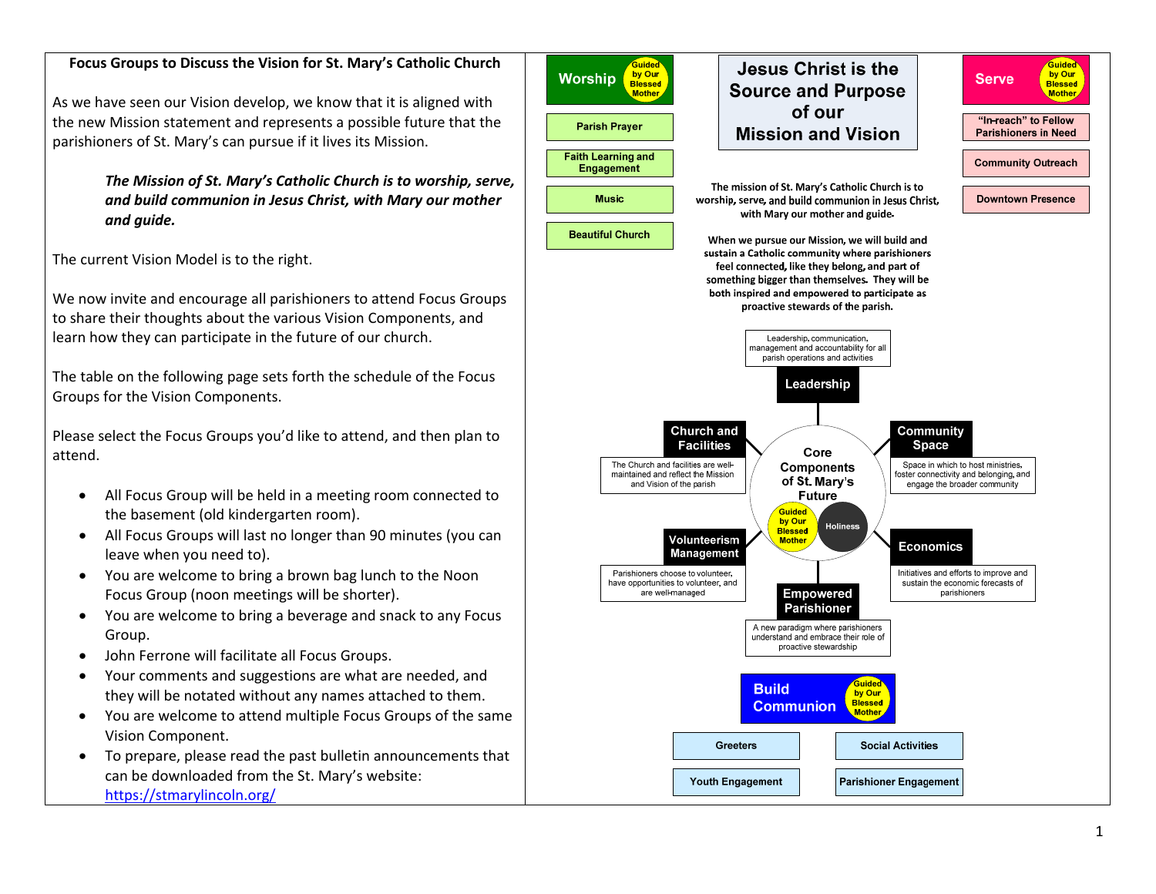## **Focus Groups to Discuss the Vision for St. Mary's Catholic Church**

As we have seen our Vision develop, we know that it is aligned with the new Mission statement and represents <sup>a</sup> possible future that the parishioners of St. Mary's can pursue if it lives its Mission.

> *The Mission of St. Mary's Catholic Church is to worship, serve, and build communion in Jesus Christ, with Mary our mother and guide.*

The current Vision Model is to the right.

We now invite and encourage all parishioners to attend Focus Groups to share their thoughts about the various Vision Components, and learn how they can participate in the future of our church.

The table on the following page sets forth the schedule of the Focus Groups for the Vision Components.

Please select the Focus Groups you'd like to attend, and then plan to attend.

- All Focus Group will be held in <sup>a</sup> meeting room connected to the basement (old kindergarten room).
- All Focus Groups will last no longer than 90 minutes (you can leave when you need to).
- You are welcome to bring <sup>a</sup> brown bag lunch to the Noon Focus Group (noon meetings will be shorter).
- $\bullet$  You are welcome to bring <sup>a</sup> beverage and snack to any Focus Group.
- $\bullet$ John Ferrone will facilitate all Focus Groups.
- $\bullet$  Your comments and suggestions are what are needed, and they will be notated without any names attached to them.
- 0 You are welcome to attend multiple Focus Groups of the same Vision Component.
- $\bullet$  To prepare, please read the past bulletin announcements that can be downloaded from the St. Mary's website: https://stmarylincoln.org/

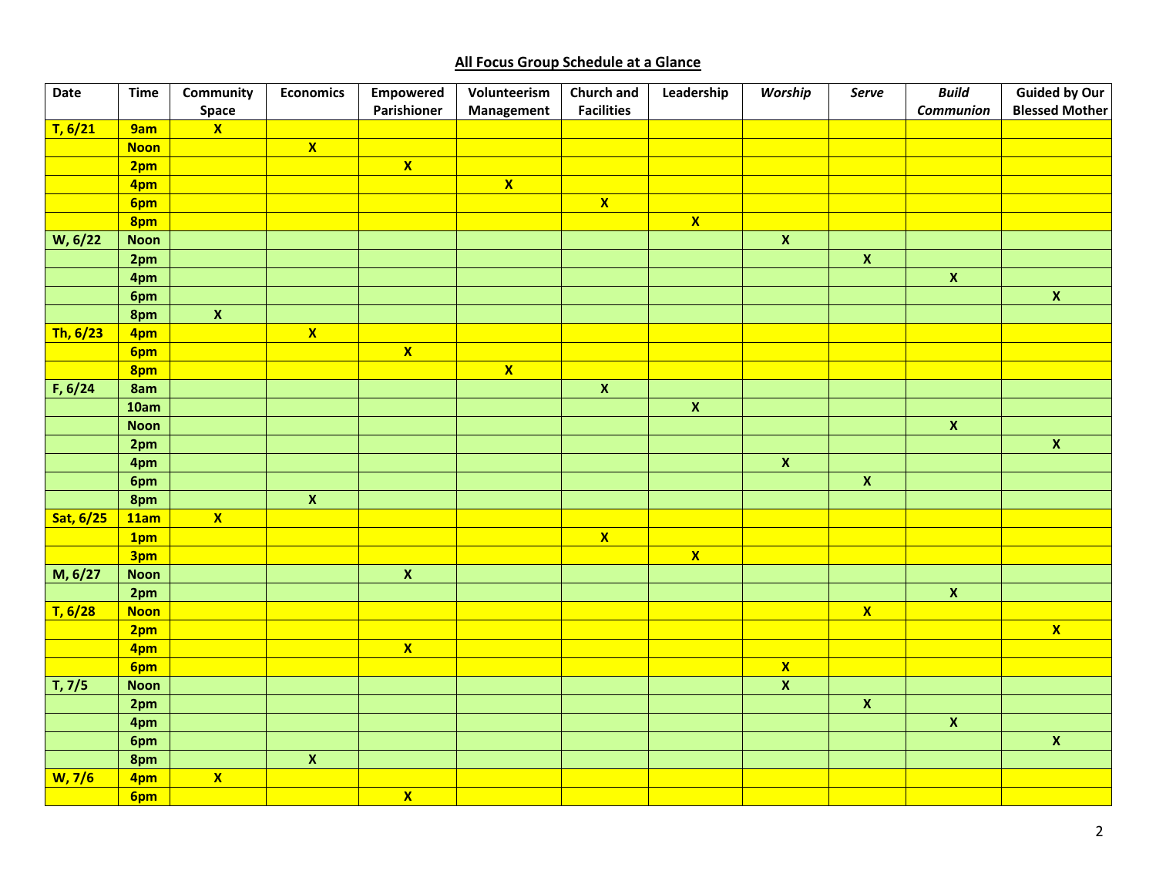## **All Focus Group Schedule at <sup>a</sup> Glance**

| Date      | <b>Time</b> | Community<br><b>Space</b> | <b>Economics</b>        | <b>Empowered</b><br>Parishioner | Volunteerism<br>Management | <b>Church and</b><br><b>Facilities</b> | Leadership              | Worship                   | Serve                   | <b>Build</b><br>Communion | <b>Guided by Our</b><br><b>Blessed Mother</b> |
|-----------|-------------|---------------------------|-------------------------|---------------------------------|----------------------------|----------------------------------------|-------------------------|---------------------------|-------------------------|---------------------------|-----------------------------------------------|
| T, 6/21   | 9am         | $\overline{\mathbf{X}}$   |                         |                                 |                            |                                        |                         |                           |                         |                           |                                               |
|           | <b>Noon</b> |                           | $\overline{\mathbf{x}}$ |                                 |                            |                                        |                         |                           |                         |                           |                                               |
|           | 2pm         |                           |                         | $\overline{\mathbf{x}}$         |                            |                                        |                         |                           |                         |                           |                                               |
|           | 4pm         |                           |                         |                                 | $\overline{\mathbf{x}}$    |                                        |                         |                           |                         |                           |                                               |
|           | 6pm         |                           |                         |                                 |                            | $\overline{\mathbf{x}}$                |                         |                           |                         |                           |                                               |
|           | 8pm         |                           |                         |                                 |                            |                                        | $\overline{\mathbf{x}}$ |                           |                         |                           |                                               |
| W, 6/22   | <b>Noon</b> |                           |                         |                                 |                            |                                        |                         | $\boldsymbol{\mathsf{X}}$ |                         |                           |                                               |
|           | 2pm         |                           |                         |                                 |                            |                                        |                         |                           | $\overline{\mathbf{X}}$ |                           |                                               |
|           | 4pm         |                           |                         |                                 |                            |                                        |                         |                           |                         | $\pmb{\mathsf{X}}$        |                                               |
|           | 6pm         |                           |                         |                                 |                            |                                        |                         |                           |                         |                           | $\pmb{\mathsf{X}}$                            |
|           | 8pm         | $\overline{\mathbf{x}}$   |                         |                                 |                            |                                        |                         |                           |                         |                           |                                               |
| Th, 6/23  | 4pm         |                           | $\overline{\mathbf{x}}$ |                                 |                            |                                        |                         |                           |                         |                           |                                               |
|           | 6pm         |                           |                         | $\overline{\mathbf{x}}$         |                            |                                        |                         |                           |                         |                           |                                               |
|           | 8pm         |                           |                         |                                 | $\overline{\mathbf{X}}$    |                                        |                         |                           |                         |                           |                                               |
| F, 6/24   | 8am         |                           |                         |                                 |                            | $\overline{\mathbf{x}}$                |                         |                           |                         |                           |                                               |
|           | 10am        |                           |                         |                                 |                            |                                        | $\overline{\mathbf{x}}$ |                           |                         |                           |                                               |
|           | <b>Noon</b> |                           |                         |                                 |                            |                                        |                         |                           |                         | $\overline{\mathbf{x}}$   |                                               |
|           | 2pm         |                           |                         |                                 |                            |                                        |                         |                           |                         |                           | $\mathbf{x}$                                  |
|           | 4pm         |                           |                         |                                 |                            |                                        |                         | $\overline{\mathbf{x}}$   |                         |                           |                                               |
|           | 6pm         |                           |                         |                                 |                            |                                        |                         |                           | $\overline{\mathbf{X}}$ |                           |                                               |
|           | 8pm         |                           | $\overline{\mathbf{x}}$ |                                 |                            |                                        |                         |                           |                         |                           |                                               |
| Sat, 6/25 | 11am        | $\mathbf{x}$              |                         |                                 |                            |                                        |                         |                           |                         |                           |                                               |
|           | 1pm         |                           |                         |                                 |                            | $\overline{\mathbf{x}}$                |                         |                           |                         |                           |                                               |
|           | 3pm         |                           |                         |                                 |                            |                                        | $\overline{\mathbf{x}}$ |                           |                         |                           |                                               |
| M, 6/27   | <b>Noon</b> |                           |                         | $\overline{\mathbf{X}}$         |                            |                                        |                         |                           |                         |                           |                                               |
|           | 2pm         |                           |                         |                                 |                            |                                        |                         |                           |                         | $\overline{\mathbf{x}}$   |                                               |
| T, 6/28   | <b>Noon</b> |                           |                         |                                 |                            |                                        |                         |                           | $\overline{\mathbf{X}}$ |                           |                                               |
|           | 2pm         |                           |                         |                                 |                            |                                        |                         |                           |                         |                           | $\overline{\mathbf{x}}$                       |
|           | 4pm         |                           |                         | $\overline{\mathbf{x}}$         |                            |                                        |                         |                           |                         |                           |                                               |
|           | 6pm         |                           |                         |                                 |                            |                                        |                         | $\overline{\mathbf{x}}$   |                         |                           |                                               |
| T, 7/5    | <b>Noon</b> |                           |                         |                                 |                            |                                        |                         | $\overline{\mathbf{x}}$   |                         |                           |                                               |
|           | 2pm         |                           |                         |                                 |                            |                                        |                         |                           | $\overline{\mathbf{x}}$ |                           |                                               |
|           | 4pm         |                           |                         |                                 |                            |                                        |                         |                           |                         | $\pmb{\mathsf{x}}$        |                                               |
|           | 6pm         |                           |                         |                                 |                            |                                        |                         |                           |                         |                           | $\pmb{\mathsf{X}}$                            |
|           | 8pm         |                           | $\overline{\mathbf{x}}$ |                                 |                            |                                        |                         |                           |                         |                           |                                               |
| W, 7/6    | 4pm         | $\overline{\mathbf{X}}$   |                         |                                 |                            |                                        |                         |                           |                         |                           |                                               |
|           | 6pm         |                           |                         | $\overline{\mathbf{X}}$         |                            |                                        |                         |                           |                         |                           |                                               |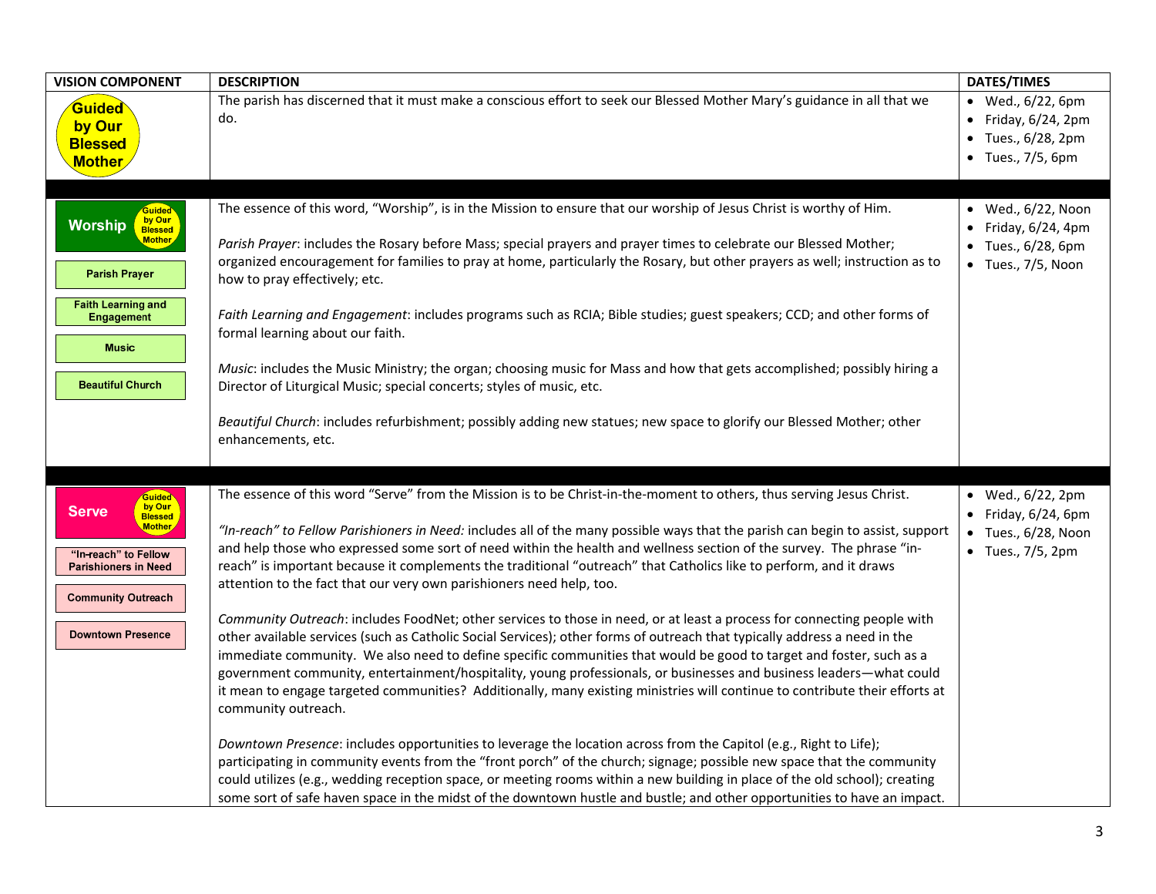| <b>VISION COMPONENT</b>                                                                                                                                                                    | <b>DESCRIPTION</b>                                                                                                                                                                                                                                                                                                                                                                                                                                                                                                                                                                                                                                                                                                                                                                                                                                                                                                                                                                                                                                                                                                                                                                                                                                                                                                                                                                                                                                                                                                                                                                                                                                                                                                                                  | <b>DATES/TIMES</b>                                                                                           |
|--------------------------------------------------------------------------------------------------------------------------------------------------------------------------------------------|-----------------------------------------------------------------------------------------------------------------------------------------------------------------------------------------------------------------------------------------------------------------------------------------------------------------------------------------------------------------------------------------------------------------------------------------------------------------------------------------------------------------------------------------------------------------------------------------------------------------------------------------------------------------------------------------------------------------------------------------------------------------------------------------------------------------------------------------------------------------------------------------------------------------------------------------------------------------------------------------------------------------------------------------------------------------------------------------------------------------------------------------------------------------------------------------------------------------------------------------------------------------------------------------------------------------------------------------------------------------------------------------------------------------------------------------------------------------------------------------------------------------------------------------------------------------------------------------------------------------------------------------------------------------------------------------------------------------------------------------------------|--------------------------------------------------------------------------------------------------------------|
| Guided<br>by Our<br><b>Blessed</b><br><b>Mother</b>                                                                                                                                        | The parish has discerned that it must make a conscious effort to seek our Blessed Mother Mary's guidance in all that we<br>do.                                                                                                                                                                                                                                                                                                                                                                                                                                                                                                                                                                                                                                                                                                                                                                                                                                                                                                                                                                                                                                                                                                                                                                                                                                                                                                                                                                                                                                                                                                                                                                                                                      | • Wed., 6/22, 6pm<br>$\bullet$ Friday, 6/24, 2pm<br>$•$ Tues., $6/28$ , 2pm<br>$\bullet$ Tues., 7/5, 6pm     |
| Guided<br>by Our<br><b>Worship</b><br><b>Blessed</b><br><b>Mother</b><br><b>Parish Prayer</b><br><b>Faith Learning and</b><br><b>Engagement</b><br><b>Music</b><br><b>Beautiful Church</b> | The essence of this word, "Worship", is in the Mission to ensure that our worship of Jesus Christ is worthy of Him.<br>Parish Prayer: includes the Rosary before Mass; special prayers and prayer times to celebrate our Blessed Mother;<br>organized encouragement for families to pray at home, particularly the Rosary, but other prayers as well; instruction as to<br>how to pray effectively; etc.<br>Faith Learning and Engagement: includes programs such as RCIA; Bible studies; guest speakers; CCD; and other forms of<br>formal learning about our faith.<br>Music: includes the Music Ministry; the organ; choosing music for Mass and how that gets accomplished; possibly hiring a<br>Director of Liturgical Music; special concerts; styles of music, etc.<br>Beautiful Church: includes refurbishment; possibly adding new statues; new space to glorify our Blessed Mother; other<br>enhancements, etc.                                                                                                                                                                                                                                                                                                                                                                                                                                                                                                                                                                                                                                                                                                                                                                                                                           | • Wed., 6/22, Noon<br>$\bullet$ Friday, 6/24, 4pm<br>• Tues., 6/28, 6pm<br>$\bullet$ Tues., 7/5, Noon        |
| Guided<br>by Our<br><b>Serve</b><br><b>Blessed</b><br><b>Mother</b><br>"In-reach" to Fellow<br><b>Parishioners in Need</b><br><b>Community Outreach</b><br><b>Downtown Presence</b>        | The essence of this word "Serve" from the Mission is to be Christ-in-the-moment to others, thus serving Jesus Christ.<br>"In-reach" to Fellow Parishioners in Need: includes all of the many possible ways that the parish can begin to assist, support<br>and help those who expressed some sort of need within the health and wellness section of the survey. The phrase "in-<br>reach" is important because it complements the traditional "outreach" that Catholics like to perform, and it draws<br>attention to the fact that our very own parishioners need help, too.<br>Community Outreach: includes FoodNet; other services to those in need, or at least a process for connecting people with<br>other available services (such as Catholic Social Services); other forms of outreach that typically address a need in the<br>immediate community. We also need to define specific communities that would be good to target and foster, such as a<br>government community, entertainment/hospitality, young professionals, or businesses and business leaders—what could<br>it mean to engage targeted communities? Additionally, many existing ministries will continue to contribute their efforts at<br>community outreach.<br>Downtown Presence: includes opportunities to leverage the location across from the Capitol (e.g., Right to Life);<br>participating in community events from the "front porch" of the church; signage; possible new space that the community<br>could utilizes (e.g., wedding reception space, or meeting rooms within a new building in place of the old school); creating<br>some sort of safe haven space in the midst of the downtown hustle and bustle; and other opportunities to have an impact. | • Wed., 6/22, 2pm<br>$\bullet$ Friday, 6/24, 6pm<br>$\bullet$ Tues., 6/28, Noon<br>$\bullet$ Tues., 7/5, 2pm |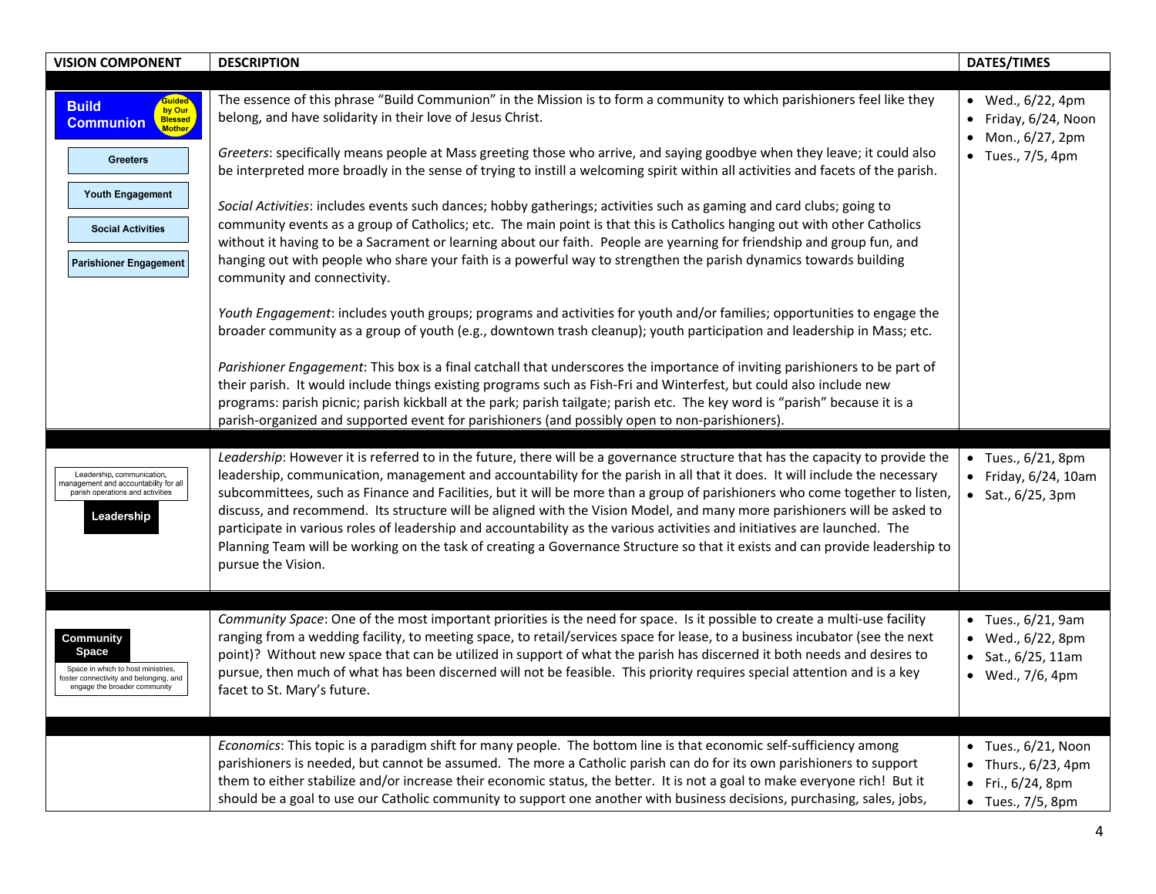| <b>VISION COMPONENT</b>                                                                                                                                                               | <b>DESCRIPTION</b>                                                                                                                                                                                                                                                                                                                                                                                                                                                                                                                                                                                                                                                                                                                                                                                                                                                                                                                                                                      | <b>DATES/TIMES</b>                                                                                    |
|---------------------------------------------------------------------------------------------------------------------------------------------------------------------------------------|-----------------------------------------------------------------------------------------------------------------------------------------------------------------------------------------------------------------------------------------------------------------------------------------------------------------------------------------------------------------------------------------------------------------------------------------------------------------------------------------------------------------------------------------------------------------------------------------------------------------------------------------------------------------------------------------------------------------------------------------------------------------------------------------------------------------------------------------------------------------------------------------------------------------------------------------------------------------------------------------|-------------------------------------------------------------------------------------------------------|
| Guided<br><b>Build</b><br>by Our<br>Blessed<br><b>Communion</b><br>Mother,<br><b>Greeters</b><br><b>Youth Engagement</b><br><b>Social Activities</b><br><b>Parishioner Engagement</b> | The essence of this phrase "Build Communion" in the Mission is to form a community to which parishioners feel like they<br>belong, and have solidarity in their love of Jesus Christ.<br>Greeters: specifically means people at Mass greeting those who arrive, and saying goodbye when they leave; it could also<br>be interpreted more broadly in the sense of trying to instill a welcoming spirit within all activities and facets of the parish.<br>Social Activities: includes events such dances; hobby gatherings; activities such as gaming and card clubs; going to<br>community events as a group of Catholics; etc. The main point is that this is Catholics hanging out with other Catholics<br>without it having to be a Sacrament or learning about our faith. People are yearning for friendship and group fun, and<br>hanging out with people who share your faith is a powerful way to strengthen the parish dynamics towards building<br>community and connectivity. | • Wed., 6/22, 4pm<br>$\bullet$ Friday, 6/24, Noon<br>• Mon., 6/27, 2pm<br>$\bullet$ Tues., 7/5, 4pm   |
|                                                                                                                                                                                       | Youth Engagement: includes youth groups; programs and activities for youth and/or families; opportunities to engage the<br>broader community as a group of youth (e.g., downtown trash cleanup); youth participation and leadership in Mass; etc.<br>Parishioner Engagement: This box is a final catchall that underscores the importance of inviting parishioners to be part of<br>their parish. It would include things existing programs such as Fish-Fri and Winterfest, but could also include new<br>programs: parish picnic; parish kickball at the park; parish tailgate; parish etc. The key word is "parish" because it is a<br>parish-organized and supported event for parishioners (and possibly open to non-parishioners).                                                                                                                                                                                                                                                |                                                                                                       |
| Leadership, communication,<br>anagement and accountability for all<br>parish operations and activities<br>Leadership                                                                  | Leadership: However it is referred to in the future, there will be a governance structure that has the capacity to provide the<br>leadership, communication, management and accountability for the parish in all that it does. It will include the necessary<br>subcommittees, such as Finance and Facilities, but it will be more than a group of parishioners who come together to listen,<br>discuss, and recommend. Its structure will be aligned with the Vision Model, and many more parishioners will be asked to<br>participate in various roles of leadership and accountability as the various activities and initiatives are launched. The<br>Planning Team will be working on the task of creating a Governance Structure so that it exists and can provide leadership to<br>pursue the Vision.                                                                                                                                                                             | $\bullet$ Tues., 6/21, 8pm<br>$\bullet$ Friday, 6/24, 10am<br>• Sat., $6/25$ , 3pm                    |
| Community<br>Space<br>Space in which to host ministries,<br>oster connectivity and belonging, and<br>engage the broader community                                                     | Community Space: One of the most important priorities is the need for space. Is it possible to create a multi-use facility<br>ranging from a wedding facility, to meeting space, to retail/services space for lease, to a business incubator (see the next<br>point)? Without new space that can be utilized in support of what the parish has discerned it both needs and desires to<br>pursue, then much of what has been discerned will not be feasible. This priority requires special attention and is a key<br>facet to St. Mary's future.                                                                                                                                                                                                                                                                                                                                                                                                                                        | $\bullet$ Tues., 6/21, 9am<br>• Wed., 6/22, 8pm<br>• Sat., $6/25$ , 11am<br>• Wed., 7/6, 4pm          |
|                                                                                                                                                                                       | Economics: This topic is a paradigm shift for many people. The bottom line is that economic self-sufficiency among<br>parishioners is needed, but cannot be assumed. The more a Catholic parish can do for its own parishioners to support<br>them to either stabilize and/or increase their economic status, the better. It is not a goal to make everyone rich! But it<br>should be a goal to use our Catholic community to support one another with business decisions, purchasing, sales, jobs,                                                                                                                                                                                                                                                                                                                                                                                                                                                                                     | $\bullet$ Tues., 6/21, Noon<br>Thurs., 6/23, 4pm<br>• Fri., $6/24$ , 8pm<br>$\bullet$ Tues., 7/5, 8pm |